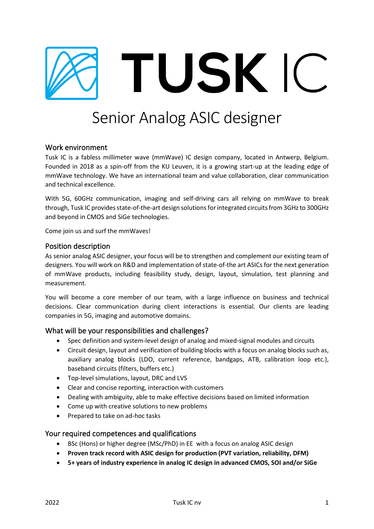

# Senior Analog ASIC designer

# Work environment

Tusk IC is a fabless millimeter wave (mmWave) IC design company, located in Antwerp, Belgium. Founded in 2018 as a spin-off from the KU Leuven, it is a growing start-up at the leading edge of mmWave technology. We have an international team and value collaboration, clear communication and technical excellence.

With 5G, 60GHz communication, imaging and self-driving cars all relying on mmWave to break through, Tusk IC provides state-of-the-art design solutionsfor integrated circuits from 3GHz to 300GHz and beyond in CMOS and SiGe technologies.

Come join us and surf the mmWaves!

# Position description

As senior analog ASIC designer, your focus will be to strengthen and complement our existing team of designers. You will work on R&D and implementation of state-of-the art ASICs for the next generation of mmWave products, including feasibility study, design, layout, simulation, test planning and measurement.

You will become a core member of our team, with a large influence on business and technical decisions. Clear communication during client interactions is essential. Our clients are leading companies in 5G, imaging and automotive domains.

#### What will be your responsibilities and challenges?

- Spec definition and system-level design of analog and mixed-signal modules and circuits
- Circuit design, layout and verification of building blocks with a focus on analog blocks such as, auxiliary analog blocks (LDO, current reference, bandgaps, ATB, calibration loop etc.), baseband circuits (filters, buffers etc.)
- Top-level simulations, layout, DRC and LVS
- Clear and concise reporting, interaction with customers
- Dealing with ambiguity, able to make effective decisions based on limited information
- Come up with creative solutions to new problems
- Prepared to take on ad-hoc tasks

#### Your required competences and qualifications

- BSc (Hons) or higher degree (MSc/PhD) in EE with a focus on analog ASIC design
- **Proven track record with ASIC design for production (PVT variation, reliability, DFM)**
- **5+ years of industry experience in analog IC design in advanced CMOS, SOI and/or SiGe**